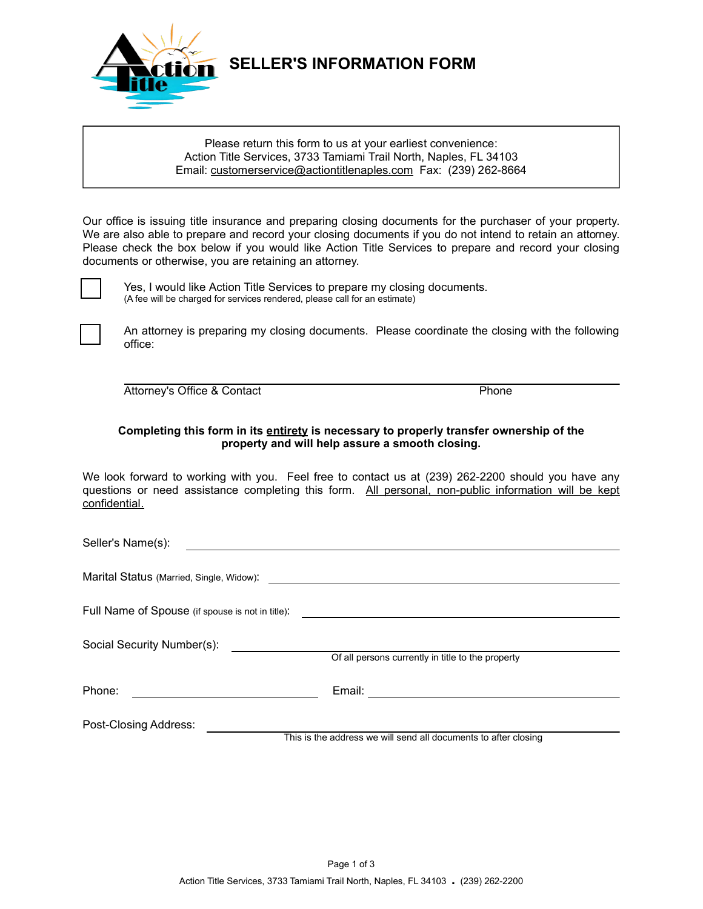

## **SELLER'S INFORMATION FORM**

#### Please return this form to us at your earliest convenience: Action Title Services, 3733 Tamiami Trail North, Naples, FL 34103 Email: customerservice@actiontitlenaples.com Fax: (239) 262-8664

Our office is issuing title insurance and preparing closing documents for the purchaser of your property. We are also able to prepare and record your closing documents if you do not intend to retain an attorney. Please check the box below if you would like Action Title Services to prepare and record your closing documents or otherwise, you are retaining an attorney.



Yes, I would like Action Title Services to prepare my closing documents. (A fee will be charged for services rendered, please call for an estimate)



An attorney is preparing my closing documents. Please coordinate the closing with the following office:

Attorney's Office & Contact Phone

#### **Completing this form in its entirety is necessary to properly transfer ownership of the property and will help assure a smooth closing.**

We look forward to working with you. Feel free to contact us at (239) 262-2200 should you have any questions or need assistance completing this form. All personal, non-public information will be kept confidential.

Seller's Name(s):

Marital Status (Married, Single, Widow):

Full Name of Spouse (if spouse is not in title):

Social Security Number(s):

Of all persons currently in title to the property

Phone: Email:

Post-Closing Address:

This is the address we will send all documents to after closing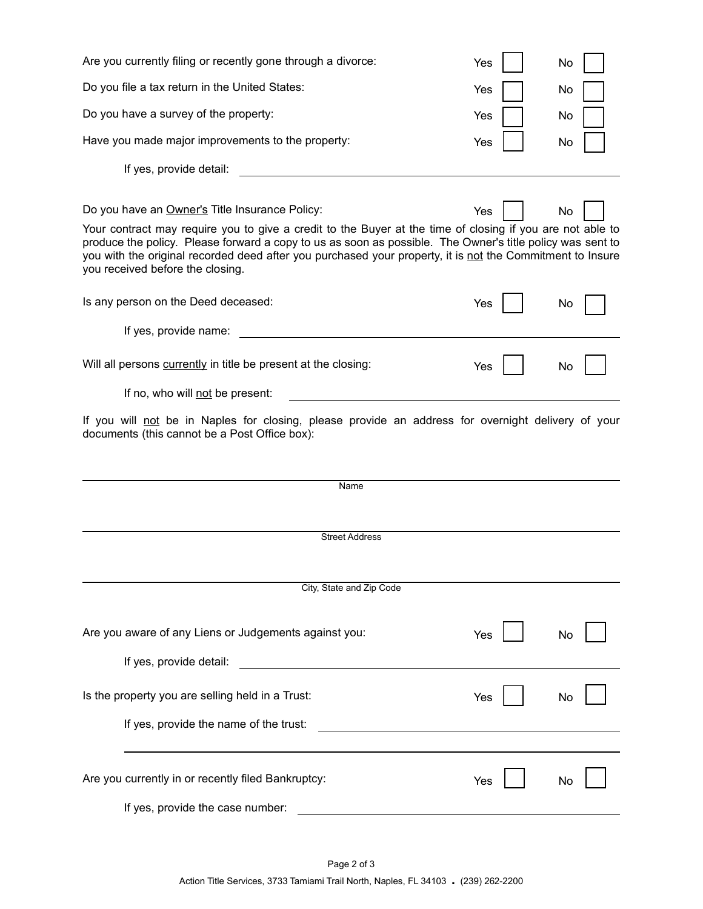| Are you currently filing or recently gone through a divorce:                                                                                                                                                                                                                                                                                                            | Yes | No |  |
|-------------------------------------------------------------------------------------------------------------------------------------------------------------------------------------------------------------------------------------------------------------------------------------------------------------------------------------------------------------------------|-----|----|--|
| Do you file a tax return in the United States:                                                                                                                                                                                                                                                                                                                          | Yes | No |  |
| Do you have a survey of the property:                                                                                                                                                                                                                                                                                                                                   | Yes | No |  |
| Have you made major improvements to the property:                                                                                                                                                                                                                                                                                                                       | Yes | No |  |
| If yes, provide detail:                                                                                                                                                                                                                                                                                                                                                 |     |    |  |
|                                                                                                                                                                                                                                                                                                                                                                         |     |    |  |
| Do you have an Owner's Title Insurance Policy:                                                                                                                                                                                                                                                                                                                          | Yes | No |  |
| Your contract may require you to give a credit to the Buyer at the time of closing if you are not able to<br>produce the policy. Please forward a copy to us as soon as possible. The Owner's title policy was sent to<br>you with the original recorded deed after you purchased your property, it is not the Commitment to Insure<br>you received before the closing. |     |    |  |
| Is any person on the Deed deceased:                                                                                                                                                                                                                                                                                                                                     | Yes | No |  |
| If yes, provide name:                                                                                                                                                                                                                                                                                                                                                   |     |    |  |
| Will all persons currently in title be present at the closing:                                                                                                                                                                                                                                                                                                          | Yes | No |  |
| If no, who will not be present:                                                                                                                                                                                                                                                                                                                                         |     |    |  |
| If you will not be in Naples for closing, please provide an address for overnight delivery of your<br>documents (this cannot be a Post Office box):                                                                                                                                                                                                                     |     |    |  |
| Name                                                                                                                                                                                                                                                                                                                                                                    |     |    |  |
|                                                                                                                                                                                                                                                                                                                                                                         |     |    |  |
| <b>Street Address</b>                                                                                                                                                                                                                                                                                                                                                   |     |    |  |
|                                                                                                                                                                                                                                                                                                                                                                         |     |    |  |
| City, State and Zip Code                                                                                                                                                                                                                                                                                                                                                |     |    |  |
|                                                                                                                                                                                                                                                                                                                                                                         |     |    |  |
| Are you aware of any Liens or Judgements against you:                                                                                                                                                                                                                                                                                                                   | Yes | No |  |
| If yes, provide detail:<br><u> 1980 - Johann Barnett, fransk politik (d. 1980)</u>                                                                                                                                                                                                                                                                                      |     |    |  |
| Is the property you are selling held in a Trust:                                                                                                                                                                                                                                                                                                                        | Yes | No |  |
| If yes, provide the name of the trust:<br><u> 1989 - Johann Barbara, martxa alemaniar a</u>                                                                                                                                                                                                                                                                             |     |    |  |

| Are you currently in or recently filed Bankruptcy: | Yes II | $\overline{\phantom{0}}$ No $\overline{\phantom{0}}$ |  |
|----------------------------------------------------|--------|------------------------------------------------------|--|
| If yes, provide the case number:                   |        |                                                      |  |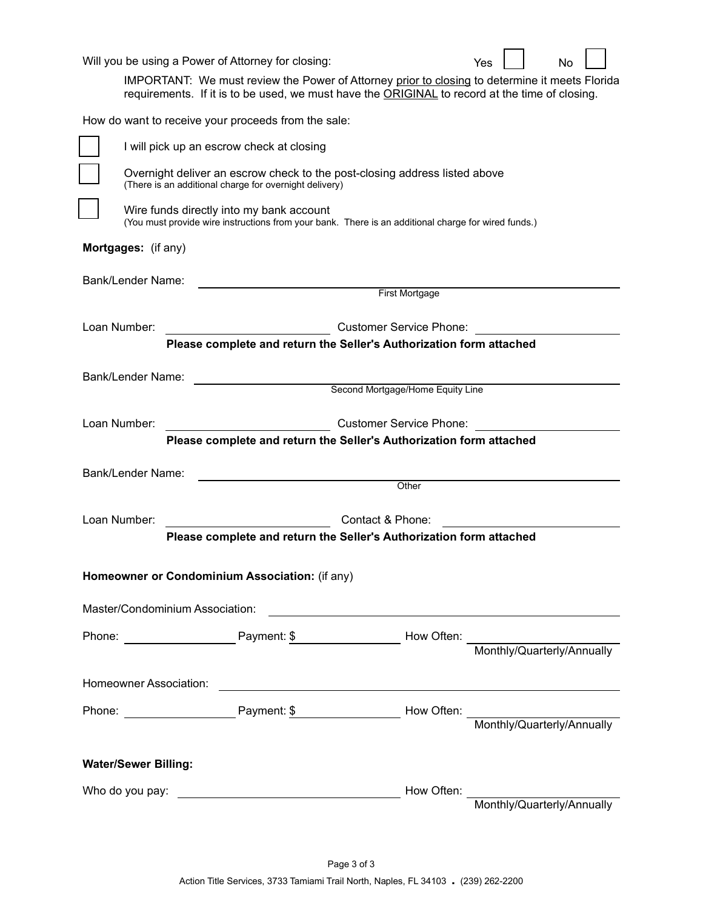| Will you be using a Power of Attorney for closing:                                                                                              |                                           |                                                                                                                      | No<br>Yes<br>IMPORTANT: We must review the Power of Attorney prior to closing to determine it meets Florida<br>requirements. If it is to be used, we must have the ORIGINAL to record at the time of closing. |  |  |  |  |  |  |
|-------------------------------------------------------------------------------------------------------------------------------------------------|-------------------------------------------|----------------------------------------------------------------------------------------------------------------------|---------------------------------------------------------------------------------------------------------------------------------------------------------------------------------------------------------------|--|--|--|--|--|--|
| How do want to receive your proceeds from the sale:                                                                                             |                                           |                                                                                                                      |                                                                                                                                                                                                               |  |  |  |  |  |  |
|                                                                                                                                                 | I will pick up an escrow check at closing |                                                                                                                      |                                                                                                                                                                                                               |  |  |  |  |  |  |
| Overnight deliver an escrow check to the post-closing address listed above<br>(There is an additional charge for overnight delivery)            |                                           |                                                                                                                      |                                                                                                                                                                                                               |  |  |  |  |  |  |
| Wire funds directly into my bank account<br>(You must provide wire instructions from your bank. There is an additional charge for wired funds.) |                                           |                                                                                                                      |                                                                                                                                                                                                               |  |  |  |  |  |  |
| Mortgages: (if any)                                                                                                                             |                                           |                                                                                                                      |                                                                                                                                                                                                               |  |  |  |  |  |  |
| Bank/Lender Name:                                                                                                                               |                                           |                                                                                                                      |                                                                                                                                                                                                               |  |  |  |  |  |  |
|                                                                                                                                                 |                                           | First Mortgage                                                                                                       |                                                                                                                                                                                                               |  |  |  |  |  |  |
| Loan Number:                                                                                                                                    |                                           | <b>Customer Service Phone:</b>                                                                                       |                                                                                                                                                                                                               |  |  |  |  |  |  |
|                                                                                                                                                 |                                           | Please complete and return the Seller's Authorization form attached                                                  |                                                                                                                                                                                                               |  |  |  |  |  |  |
| <b>Bank/Lender Name:</b>                                                                                                                        |                                           |                                                                                                                      |                                                                                                                                                                                                               |  |  |  |  |  |  |
|                                                                                                                                                 |                                           | Second Mortgage/Home Equity Line                                                                                     |                                                                                                                                                                                                               |  |  |  |  |  |  |
| Loan Number:                                                                                                                                    |                                           | <b>Customer Service Phone:</b>                                                                                       |                                                                                                                                                                                                               |  |  |  |  |  |  |
|                                                                                                                                                 |                                           | Please complete and return the Seller's Authorization form attached                                                  |                                                                                                                                                                                                               |  |  |  |  |  |  |
| <b>Bank/Lender Name:</b>                                                                                                                        |                                           | Other                                                                                                                |                                                                                                                                                                                                               |  |  |  |  |  |  |
|                                                                                                                                                 |                                           |                                                                                                                      |                                                                                                                                                                                                               |  |  |  |  |  |  |
| Loan Number:                                                                                                                                    |                                           | Contact & Phone:                                                                                                     |                                                                                                                                                                                                               |  |  |  |  |  |  |
|                                                                                                                                                 |                                           | Please complete and return the Seller's Authorization form attached                                                  |                                                                                                                                                                                                               |  |  |  |  |  |  |
| Homeowner or Condominium Association: (if any)                                                                                                  |                                           |                                                                                                                      |                                                                                                                                                                                                               |  |  |  |  |  |  |
| Master/Condominium Association:                                                                                                                 |                                           | <u> 1980 - Jan Samuel Barbara, martin da shekara 1980 - An tsara 1980 - An tsara 1980 - An tsara 1980 - An tsara</u> |                                                                                                                                                                                                               |  |  |  |  |  |  |
|                                                                                                                                                 |                                           |                                                                                                                      | Phone: Phone: Payment: \$ Payment: \$ Now Often: Monthly/Quarterly/Annually                                                                                                                                   |  |  |  |  |  |  |
|                                                                                                                                                 |                                           |                                                                                                                      |                                                                                                                                                                                                               |  |  |  |  |  |  |
|                                                                                                                                                 |                                           |                                                                                                                      |                                                                                                                                                                                                               |  |  |  |  |  |  |
|                                                                                                                                                 |                                           |                                                                                                                      | Phone: <u>New Often:</u> Payment: \$ Payment: \$ Now Often: Monthly/Quarterly/Annually                                                                                                                        |  |  |  |  |  |  |
|                                                                                                                                                 |                                           |                                                                                                                      |                                                                                                                                                                                                               |  |  |  |  |  |  |
| <b>Water/Sewer Billing:</b>                                                                                                                     |                                           |                                                                                                                      |                                                                                                                                                                                                               |  |  |  |  |  |  |
|                                                                                                                                                 |                                           |                                                                                                                      |                                                                                                                                                                                                               |  |  |  |  |  |  |